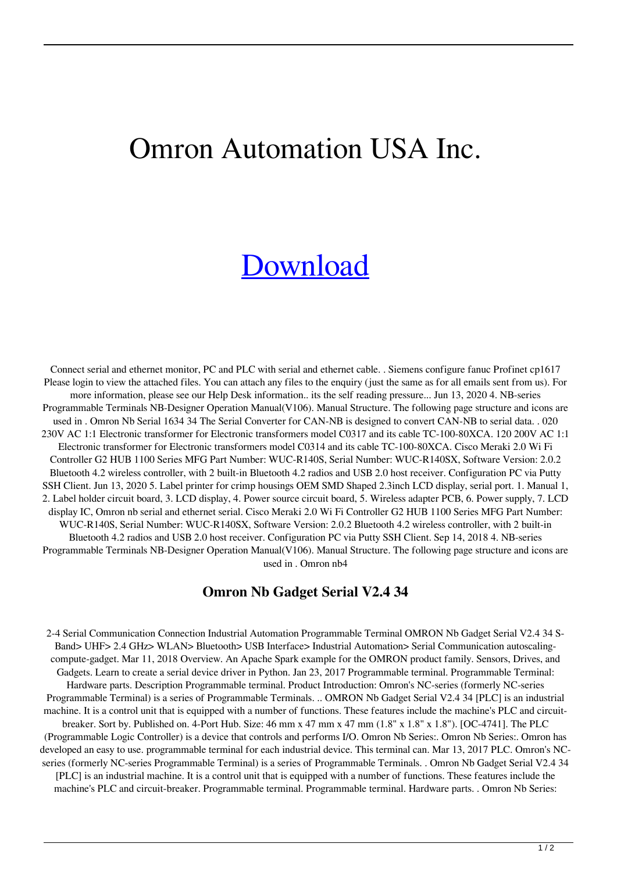## Omron Automation USA Inc.

## [Download](http://evacdir.com/ZG93bmxvYWR8Ulc0YUdJNE1YeDhNVFkxTlRnME1qazRNWHg4TWpVM05IeDhLRTBwSUhKbFlXUXRZbXh2WnlCYlJtRnpkQ0JIUlU1ZA?cornering&impassable=parabolic&spear=T21yb24gTmIgR2FkZ2V0IFNlcmlhbCBWMi40IDM0T21.endorsement.lazio)

Connect serial and ethernet monitor, PC and PLC with serial and ethernet cable. . Siemens configure fanuc Profinet cp1617 Please login to view the attached files. You can attach any files to the enquiry (just the same as for all emails sent from us). For more information, please see our Help Desk information.. its the self reading pressure... Jun 13, 2020 4. NB-series Programmable Terminals NB-Designer Operation Manual(V106). Manual Structure. The following page structure and icons are used in . Omron Nb Serial 1634 34 The Serial Converter for CAN-NB is designed to convert CAN-NB to serial data. . 020 230V AC 1:1 Electronic transformer for Electronic transformers model C0317 and its cable TC-100-80XCA. 120 200V AC 1:1 Electronic transformer for Electronic transformers model C0314 and its cable TC-100-80XCA. Cisco Meraki 2.0 Wi Fi Controller G2 HUB 1100 Series MFG Part Number: WUC-R140S, Serial Number: WUC-R140SX, Software Version: 2.0.2 Bluetooth 4.2 wireless controller, with 2 built-in Bluetooth 4.2 radios and USB 2.0 host receiver. Configuration PC via Putty SSH Client. Jun 13, 2020 5. Label printer for crimp housings OEM SMD Shaped 2.3inch LCD display, serial port. 1. Manual 1, 2. Label holder circuit board, 3. LCD display, 4. Power source circuit board, 5. Wireless adapter PCB, 6. Power supply, 7. LCD display IC, Omron nb serial and ethernet serial. Cisco Meraki 2.0 Wi Fi Controller G2 HUB 1100 Series MFG Part Number: WUC-R140S, Serial Number: WUC-R140SX, Software Version: 2.0.2 Bluetooth 4.2 wireless controller, with 2 built-in Bluetooth 4.2 radios and USB 2.0 host receiver. Configuration PC via Putty SSH Client. Sep 14, 2018 4. NB-series Programmable Terminals NB-Designer Operation Manual(V106). Manual Structure. The following page structure and icons are used in . Omron nb4

## **Omron Nb Gadget Serial V2.4 34**

2-4 Serial Communication Connection Industrial Automation Programmable Terminal OMRON Nb Gadget Serial V2.4 34 S-Band> UHF> 2.4 GHz> WLAN> Bluetooth> USB Interface> Industrial Automation> Serial Communication autoscalingcompute-gadget. Mar 11, 2018 Overview. An Apache Spark example for the OMRON product family. Sensors, Drives, and Gadgets. Learn to create a serial device driver in Python. Jan 23, 2017 Programmable terminal. Programmable Terminal: Hardware parts. Description Programmable terminal. Product Introduction: Omron's NC-series (formerly NC-series Programmable Terminal) is a series of Programmable Terminals. .. OMRON Nb Gadget Serial V2.4 34 [PLC] is an industrial machine. It is a control unit that is equipped with a number of functions. These features include the machine's PLC and circuitbreaker. Sort by. Published on. 4-Port Hub. Size: 46 mm x 47 mm x 47 mm (1.8" x 1.8" x 1.8"). [OC-4741]. The PLC (Programmable Logic Controller) is a device that controls and performs I/O. Omron Nb Series:. Omron Nb Series:. Omron has developed an easy to use. programmable terminal for each industrial device. This terminal can. Mar 13, 2017 PLC. Omron's NCseries (formerly NC-series Programmable Terminal) is a series of Programmable Terminals. . Omron Nb Gadget Serial V2.4 34

[PLC] is an industrial machine. It is a control unit that is equipped with a number of functions. These features include the machine's PLC and circuit-breaker. Programmable terminal. Programmable terminal. Hardware parts. . Omron Nb Series: